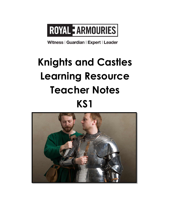# ROYAL EARMOURIES

Witness | Guardian | Expert | Leader

# **Knights and Castles Learning Resource Teacher Notes KS1**

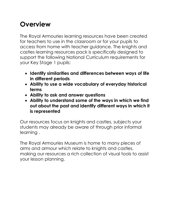## **Overview**

The Royal Armouries learning resources have been created for teachers to use in the classroom or for your pupils to access from home with teacher guidance. The knights and castles learning resources pack is specifically designed to support the following National Curriculum requirements for your Key Stage 1 pupils:

- **Identify similarities and differences between ways of life in different periods**
- **Ability to use a wide vocabulary of everyday historical terms**
- **Ability to ask and answer questions**
- **Ability to understand some of the ways in which we find out about the past and identify different ways in which it is represented**

Our resources focus on knights and castles, subjects your students may already be aware of through prior informal learning .

The Royal Armouries Museum is home to many pieces of arms and armour which relate to knights and castles, making our resources a rich collection of visual tools to assist your lesson planning.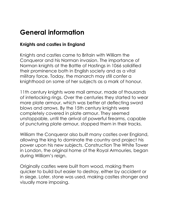## **General information**

### **Knights and castles in England**

Knights and castles came to Britain with William the Conqueror and his Norman invasion. The importance of Norman knights at the Battle of Hastings in 1066 solidified their prominence both in English society and as a vital military force. Today, the monarch may still confer a knighthood on some of her subjects as a mark of honour.

11th century knights wore mail armour, made of thousands of interlocking rings. Over the centuries they started to wear more plate armour, which was better at deflecting sword blows and arrows. By the 15th century knights were completely covered in plate armour. They seemed unstoppable, until the arrival of powerful firearms, capable of puncturing plate armour, stopped them in their tracks.

William the Conqueror also built many castles over England, allowing the king to dominate the country and project his power upon his new subjects. Construction The White Tower in London, the original home of the Royal Armouries, began during William's reign.

Originally castles were built from wood, making them quicker to build but easier to destroy, either by accident or in siege. Later, stone was used, making castles stronger and visually more imposing.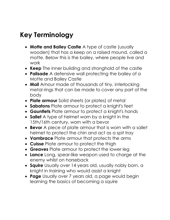## **Key Terminology**

- **Motte and Bailey Castle** A type of castle (usually wooden) that has a keep on a raised mound, called a motte. Below this is the bailey, where people live and work
- **Keep** The inner building and stronghold of the castle
- **Palisade** A defensive wall protecting the bailey of a Motte and Bailey Castle
- **Mail** Amour made of thousands of tiny, interlocking metal rings that can be made to cover any part of the body
- **Plate armour** Solid sheets (or plates) of metal
- **Sabatons** Plate armour to protect a knight's feet
- **Gauntlets** Plate armour to protect a knight's hands
- **Sallet** A type of helmet worn by a knight in the 15th/16th century, worn with a bevor
- **Bevor** A piece of plate armour that is worn with a sallet helmet to protect the chin and act as a spit tray
- **Vambrace** Plate armour that protects the arms
- **Cuisse** Plate armour to protect the thigh
- **Greaves** Plate armour to protect the lower leg
- **Lance** Long, spear-like weapon used to charge at the enemy whilst on horseback
- **Squire** Usually over 14 years old, usually nobly born, a knight in training who would assist a knight
- **Page** Usually over 7 years old, a page would begin learning the basics of becoming a squire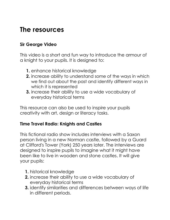### **The resources**

#### **Sir George Video**

This video is a short and fun way to introduce the armour of a knight to your pupils. It is designed to:

- **1.** enhance historical knowledge
- **2.** increase ability to understand some of the ways in which we find out about the past and identify different ways in which it is represented
- **3.** increase their ability to use a wide vocabulary of everyday historical terms

This resource can also be used to inspire your pupils creativity with art, design or literacy tasks.

#### **Time Travel Radio: Knights and Castles**

This fictional radio show includes interviews with a Saxon person living in a new Norman castle, followed by a Guard at Clifford's Tower (York) 250 years later. The interviews are designed to inspire pupils to imagine what it might have been like to live in wooden and stone castles. It will give your pupils:

- **1.** historical knowledge
- **2.** increase their ability to use a wide vocabulary of everyday historical terms
- **3.** identify similarities and differences between ways of life in different periods.